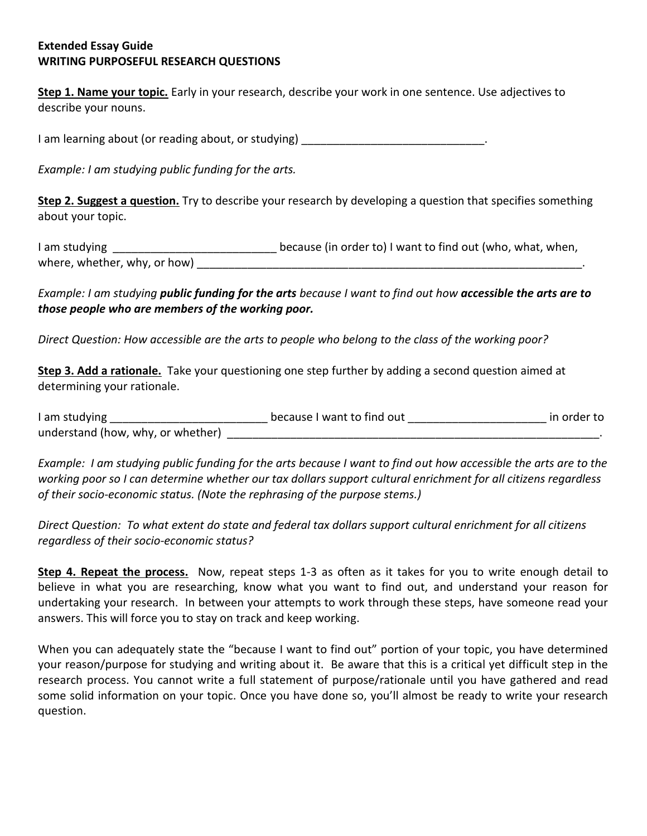## **Extended Essay Guide WRITING PURPOSEFUL RESEARCH QUESTIONS**

**Step 1. Name your topic.** Early in your research, describe your work in one sentence. Use adjectives to describe your nouns.

I am learning about (or reading about, or studying) \_\_\_\_\_\_\_\_\_\_\_\_\_\_\_\_\_\_\_\_\_\_\_\_\_\_\_\_

*Example: I am studying public funding for the arts.* 

**Step 2. Suggest a question.** Try to describe your research by developing a question that specifies something about your topic.

| I am studying                | because (in order to) I want to find out (who, what, when, |  |
|------------------------------|------------------------------------------------------------|--|
| where, whether, why, or how) |                                                            |  |

*Example: I am studying public funding for the arts because I want to find out how accessible the arts are to those people who are members of the working poor.* 

*Direct Question: How accessible are the arts to people who belong to the class of the working poor?* 

**Step 3. Add a rationale.** Take your questioning one step further by adding a second question aimed at determining your rationale.

| I am studying                     | because I want to find out | in order to |
|-----------------------------------|----------------------------|-------------|
| understand (how, why, or whether) |                            |             |

*Example: I am studying public funding for the arts because I want to find out how accessible the arts are to the working poor so I can determine whether our tax dollars support cultural enrichment for all citizens regardless of their socio-economic status. (Note the rephrasing of the purpose stems.)* 

*Direct Question: To what extent do state and federal tax dollars support cultural enrichment for all citizens regardless of their socio-economic status?* 

**Step 4. Repeat the process.** Now, repeat steps 1-3 as often as it takes for you to write enough detail to believe in what you are researching, know what you want to find out, and understand your reason for undertaking your research. In between your attempts to work through these steps, have someone read your answers. This will force you to stay on track and keep working.

When you can adequately state the "because I want to find out" portion of your topic, you have determined your reason/purpose for studying and writing about it. Be aware that this is a critical yet difficult step in the research process. You cannot write a full statement of purpose/rationale until you have gathered and read some solid information on your topic. Once you have done so, you'll almost be ready to write your research question.